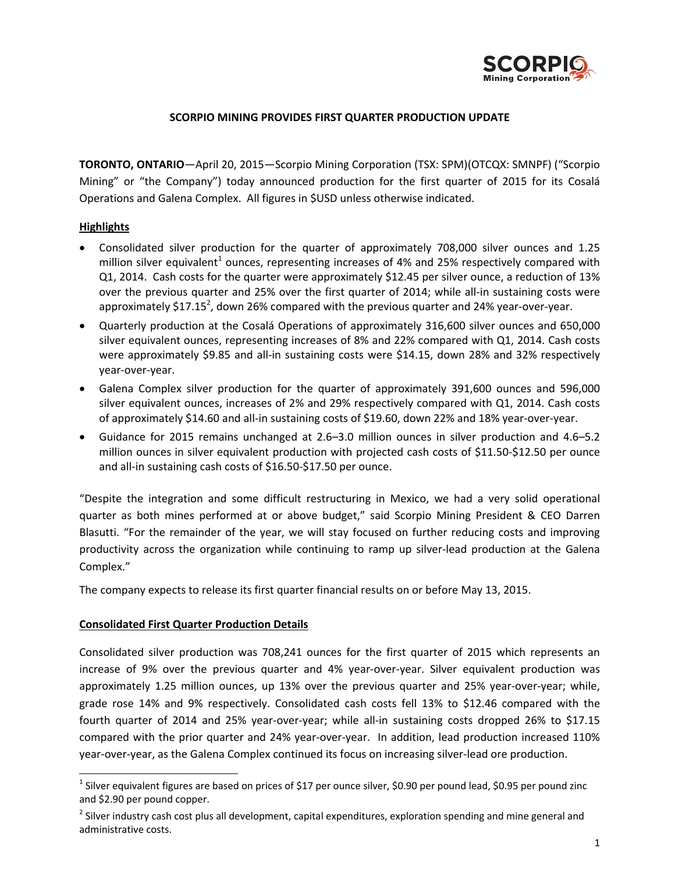

### **SCORPIO MINING PROVIDES FIRST QUARTER PRODUCTION UPDATE**

**TORONTO, ONTARIO**—April 20, 2015—Scorpio Mining Corporation (TSX: SPM)(OTCQX: SMNPF) ("Scorpio Mining" or "the Company") today announced production for the first quarter of 2015 for its Cosalá Operations and Galena Complex. All figures in \$USD unless otherwise indicated.

#### **Highlights**

 $\overline{a}$ 

- Consolidated silver production for the quarter of approximately 708,000 silver ounces and 1.25 million silver equivalent<sup>1</sup> ounces, representing increases of 4% and 25% respectively compared with Q1, 2014. Cash costs for the quarter were approximately \$12.45 per silver ounce, a reduction of 13% over the previous quarter and 25% over the first quarter of 2014; while all-in sustaining costs were approximately \$17.15<sup>2</sup>, down 26% compared with the previous quarter and 24% year-over-year.
- Quarterly production at the Cosalá Operations of approximately 316,600 silver ounces and 650,000 silver equivalent ounces, representing increases of 8% and 22% compared with Q1, 2014. Cash costs were approximately \$9.85 and all‐in sustaining costs were \$14.15, down 28% and 32% respectively year‐over‐year.
- Galena Complex silver production for the quarter of approximately 391,600 ounces and 596,000 silver equivalent ounces, increases of 2% and 29% respectively compared with Q1, 2014. Cash costs of approximately \$14.60 and all‐in sustaining costs of \$19.60, down 22% and 18% year‐over‐year.
- Guidance for 2015 remains unchanged at 2.6–3.0 million ounces in silver production and 4.6–5.2 million ounces in silver equivalent production with projected cash costs of \$11.50‐\$12.50 per ounce and all-in sustaining cash costs of \$16.50-\$17.50 per ounce.

"Despite the integration and some difficult restructuring in Mexico, we had a very solid operational quarter as both mines performed at or above budget," said Scorpio Mining President & CEO Darren Blasutti. "For the remainder of the year, we will stay focused on further reducing costs and improving productivity across the organization while continuing to ramp up silver-lead production at the Galena Complex."

The company expects to release its first quarter financial results on or before May 13, 2015.

#### **Consolidated First Quarter Production Details**

Consolidated silver production was 708,241 ounces for the first quarter of 2015 which represents an increase of 9% over the previous quarter and 4% year‐over‐year. Silver equivalent production was approximately 1.25 million ounces, up 13% over the previous quarter and 25% year-over-year; while, grade rose 14% and 9% respectively. Consolidated cash costs fell 13% to \$12.46 compared with the fourth quarter of 2014 and 25% year-over-year; while all-in sustaining costs dropped 26% to \$17.15 compared with the prior quarter and 24% year‐over‐year. In addition, lead production increased 110% year‐over‐year, as the Galena Complex continued its focus on increasing silver‐lead ore production.

 $1$  Silver equivalent figures are based on prices of \$17 per ounce silver, \$0.90 per pound lead, \$0.95 per pound zinc and \$2.90 per pound copper.

 $2$  Silver industry cash cost plus all development, capital expenditures, exploration spending and mine general and administrative costs.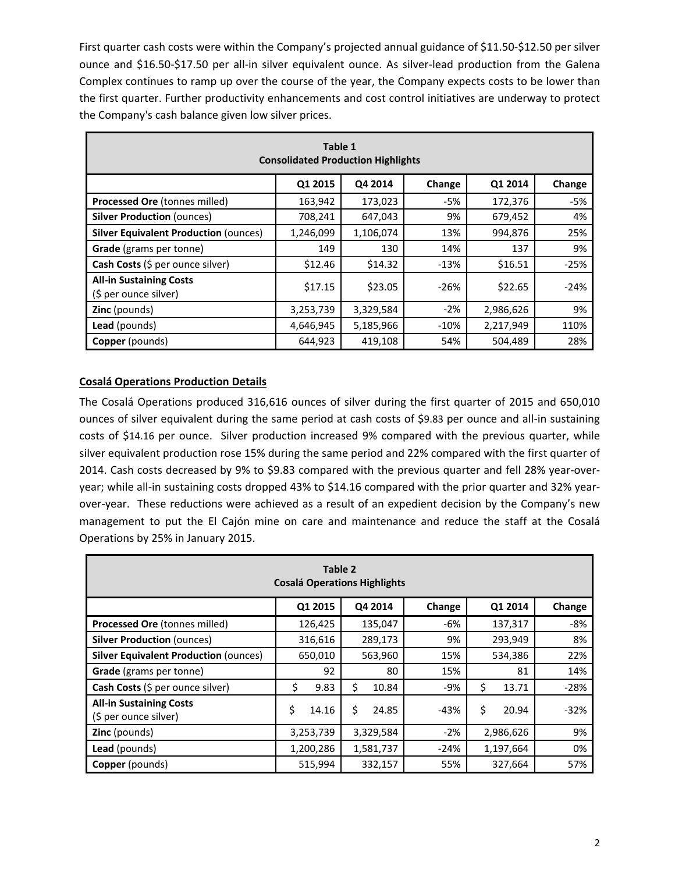First quarter cash costs were within the Company's projected annual guidance of \$11.50-\$12.50 per silver ounce and \$16.50‐\$17.50 per all‐in silver equivalent ounce. As silver‐lead production from the Galena Complex continues to ramp up over the course of the year, the Company expects costs to be lower than the first quarter. Further productivity enhancements and cost control initiatives are underway to protect the Company's cash balance given low silver prices.

| Table 1<br><b>Consolidated Production Highlights</b>    |           |           |        |           |        |
|---------------------------------------------------------|-----------|-----------|--------|-----------|--------|
|                                                         | Q1 2015   | Q4 2014   | Change | Q1 2014   | Change |
| Processed Ore (tonnes milled)                           | 163,942   | 173,023   | -5%    | 172,376   | -5%    |
| <b>Silver Production (ounces)</b>                       | 708,241   | 647,043   | 9%     | 679,452   | 4%     |
| <b>Silver Equivalent Production (ounces)</b>            | 1,246,099 | 1,106,074 | 13%    | 994,876   | 25%    |
| Grade (grams per tonne)                                 | 149       | 130       | 14%    | 137       | 9%     |
| Cash Costs (\$ per ounce silver)                        | \$12.46   | \$14.32   | $-13%$ | \$16.51   | $-25%$ |
| <b>All-in Sustaining Costs</b><br>(\$ per ounce silver) | \$17.15   | \$23.05   | $-26%$ | \$22.65   | $-24%$ |
| <b>Zinc</b> (pounds)                                    | 3,253,739 | 3,329,584 | $-2%$  | 2,986,626 | 9%     |
| Lead (pounds)                                           | 4,646,945 | 5,185,966 | $-10%$ | 2,217,949 | 110%   |
| <b>Copper</b> (pounds)                                  | 644,923   | 419,108   | 54%    | 504,489   | 28%    |

# **Cosalá Operations Production Details**

The Cosalá Operations produced 316,616 ounces of silver during the first quarter of 2015 and 650,010 ounces of silver equivalent during the same period at cash costs of \$9.83 per ounce and all-in sustaining costs of \$14.16 per ounce. Silver production increased 9% compared with the previous quarter, while silver equivalent production rose 15% during the same period and 22% compared with the first quarter of 2014. Cash costs decreased by 9% to \$9.83 compared with the previous quarter and fell 28% year‐over‐ year; while all-in sustaining costs dropped 43% to \$14.16 compared with the prior quarter and 32% yearover-year. These reductions were achieved as a result of an expedient decision by the Company's new management to put the El Cajón mine on care and maintenance and reduce the staff at the Cosalá Operations by 25% in January 2015.

| Table 2<br><b>Cosalá Operations Highlights</b>          |             |            |        |             |        |
|---------------------------------------------------------|-------------|------------|--------|-------------|--------|
|                                                         | Q1 2015     | Q4 2014    | Change | Q1 2014     | Change |
| Processed Ore (tonnes milled)                           | 126,425     | 135,047    | $-6%$  | 137,317     | $-8%$  |
| <b>Silver Production (ounces)</b>                       | 316,616     | 289,173    | 9%     | 293,949     | 8%     |
| <b>Silver Equivalent Production (ounces)</b>            | 650,010     | 563,960    | 15%    | 534,386     | 22%    |
| Grade (grams per tonne)                                 | 92          | 80         | 15%    | 81          | 14%    |
| Cash Costs (\$ per ounce silver)                        | \$<br>9.83  | Ś<br>10.84 | $-9%$  | \$<br>13.71 | $-28%$ |
| <b>All-in Sustaining Costs</b><br>(\$ per ounce silver) | Ś.<br>14.16 | Ś<br>24.85 | $-43%$ | \$<br>20.94 | $-32%$ |
| <b>Zinc</b> (pounds)                                    | 3,253,739   | 3,329,584  | $-2%$  | 2,986,626   | 9%     |
| Lead (pounds)                                           | 1,200,286   | 1,581,737  | $-24%$ | 1,197,664   | 0%     |
| <b>Copper</b> (pounds)                                  | 515,994     | 332,157    | 55%    | 327,664     | 57%    |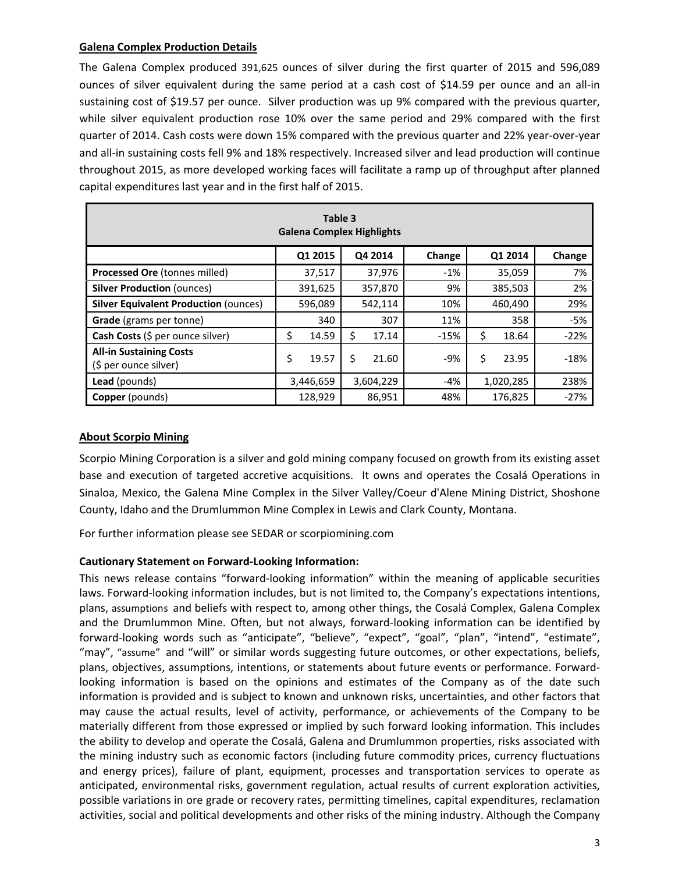## **Galena Complex Production Details**

The Galena Complex produced 391,625 ounces of silver during the first quarter of 2015 and 596,089 ounces of silver equivalent during the same period at a cash cost of \$14.59 per ounce and an all-in sustaining cost of \$19.57 per ounce. Silver production was up 9% compared with the previous quarter, while silver equivalent production rose 10% over the same period and 29% compared with the first quarter of 2014. Cash costs were down 15% compared with the previous quarter and 22% year‐over‐year and all-in sustaining costs fell 9% and 18% respectively. Increased silver and lead production will continue throughout 2015, as more developed working faces will facilitate a ramp up of throughput after planned capital expenditures last year and in the first half of 2015.

| Table 3<br><b>Galena Complex Highlights</b>             |             |            |        |             |        |
|---------------------------------------------------------|-------------|------------|--------|-------------|--------|
|                                                         | Q1 2015     | Q4 2014    | Change | Q1 2014     | Change |
| Processed Ore (tonnes milled)                           | 37,517      | 37,976     | $-1%$  | 35,059      | 7%     |
| <b>Silver Production (ounces)</b>                       | 391,625     | 357,870    | 9%     | 385,503     | 2%     |
| <b>Silver Equivalent Production (ounces)</b>            | 596,089     | 542,114    | 10%    | 460,490     | 29%    |
| <b>Grade</b> (grams per tonne)                          | 340         | 307        | 11%    | 358         | $-5%$  |
| Cash Costs (\$ per ounce silver)                        | \$<br>14.59 | 17.14      | $-15%$ | \$<br>18.64 | $-22%$ |
| <b>All-in Sustaining Costs</b><br>(\$ per ounce silver) | \$<br>19.57 | Ś<br>21.60 | -9%    | Ś<br>23.95  | $-18%$ |
| <b>Lead</b> (pounds)                                    | 3,446,659   | 3,604,229  | $-4%$  | 1,020,285   | 238%   |
| <b>Copper</b> (pounds)                                  | 128,929     | 86,951     | 48%    | 176,825     | $-27%$ |

## **About Scorpio Mining**

Scorpio Mining Corporation is a silver and gold mining company focused on growth from its existing asset base and execution of targeted accretive acquisitions. It owns and operates the Cosalá Operations in Sinaloa, Mexico, the Galena Mine Complex in the Silver Valley/Coeur d'Alene Mining District, Shoshone County, Idaho and the Drumlummon Mine Complex in Lewis and Clark County, Montana.

For further information please see SEDAR or scorpiomining.com

# **Cautionary Statement on Forward‐Looking Information:**

This news release contains "forward‐looking information" within the meaning of applicable securities laws. Forward-looking information includes, but is not limited to, the Company's expectations intentions, plans, assumptions and beliefs with respect to, among other things, the Cosalá Complex, Galena Complex and the Drumlummon Mine. Often, but not always, forward‐looking information can be identified by forward‐looking words such as "anticipate", "believe", "expect", "goal", "plan", "intend", "estimate", "may", "assume" and "will" or similar words suggesting future outcomes, or other expectations, beliefs, plans, objectives, assumptions, intentions, or statements about future events or performance. Forward‐ looking information is based on the opinions and estimates of the Company as of the date such information is provided and is subject to known and unknown risks, uncertainties, and other factors that may cause the actual results, level of activity, performance, or achievements of the Company to be materially different from those expressed or implied by such forward looking information. This includes the ability to develop and operate the Cosalá, Galena and Drumlummon properties, risks associated with the mining industry such as economic factors (including future commodity prices, currency fluctuations and energy prices), failure of plant, equipment, processes and transportation services to operate as anticipated, environmental risks, government regulation, actual results of current exploration activities, possible variations in ore grade or recovery rates, permitting timelines, capital expenditures, reclamation activities, social and political developments and other risks of the mining industry. Although the Company